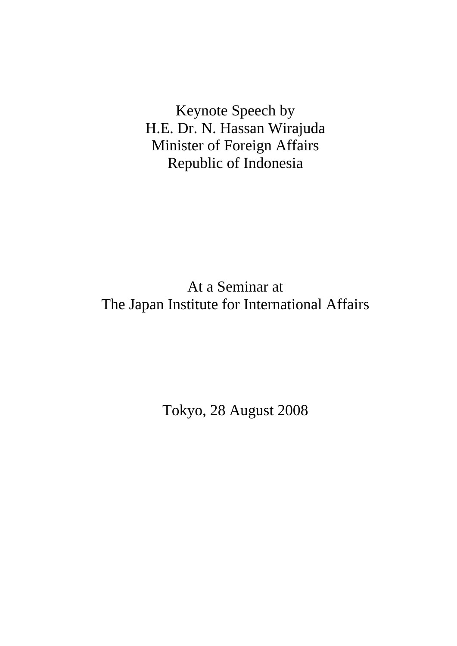Keynote Speech by H.E. Dr. N. Hassan Wirajuda Minister of Foreign Affairs Republic of Indonesia

At a Seminar at The Japan Institute for International Affairs

Tokyo, 28 August 2008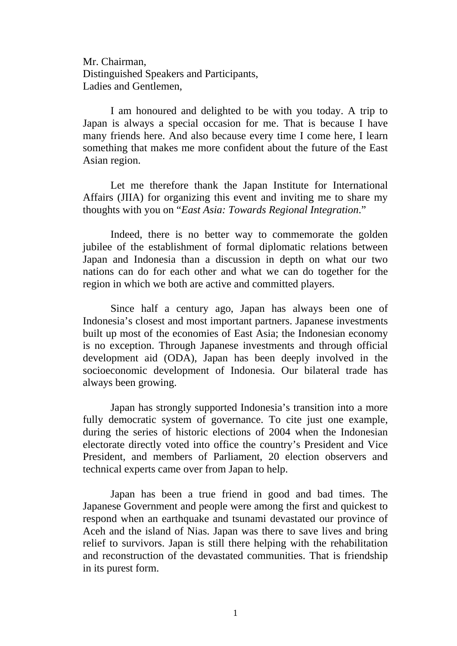Mr. Chairman, Distinguished Speakers and Participants, Ladies and Gentlemen,

I am honoured and delighted to be with you today. A trip to Japan is always a special occasion for me. That is because I have many friends here. And also because every time I come here, I learn something that makes me more confident about the future of the East Asian region.

Let me therefore thank the Japan Institute for International Affairs (JIIA) for organizing this event and inviting me to share my thoughts with you on "*East Asia: Towards Regional Integration*."

Indeed, there is no better way to commemorate the golden jubilee of the establishment of formal diplomatic relations between Japan and Indonesia than a discussion in depth on what our two nations can do for each other and what we can do together for the region in which we both are active and committed players.

Since half a century ago, Japan has always been one of Indonesia's closest and most important partners. Japanese investments built up most of the economies of East Asia; the Indonesian economy is no exception. Through Japanese investments and through official development aid (ODA), Japan has been deeply involved in the socioeconomic development of Indonesia. Our bilateral trade has always been growing.

Japan has strongly supported Indonesia's transition into a more fully democratic system of governance. To cite just one example, during the series of historic elections of 2004 when the Indonesian electorate directly voted into office the country's President and Vice President, and members of Parliament, 20 election observers and technical experts came over from Japan to help.

Japan has been a true friend in good and bad times. The Japanese Government and people were among the first and quickest to respond when an earthquake and tsunami devastated our province of Aceh and the island of Nias. Japan was there to save lives and bring relief to survivors. Japan is still there helping with the rehabilitation and reconstruction of the devastated communities. That is friendship in its purest form.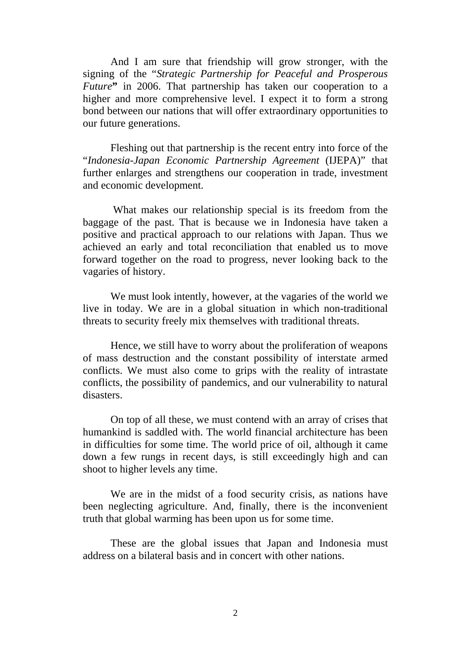And I am sure that friendship will grow stronger, with the signing of the "*Strategic Partnership for Peaceful and Prosperous Future*" in 2006. That partnership has taken our cooperation to a higher and more comprehensive level. I expect it to form a strong bond between our nations that will offer extraordinary opportunities to our future generations.

Fleshing out that partnership is the recent entry into force of the "*Indonesia-Japan Economic Partnership Agreement* (IJEPA)" that further enlarges and strengthens our cooperation in trade, investment and economic development.

 What makes our relationship special is its freedom from the baggage of the past. That is because we in Indonesia have taken a positive and practical approach to our relations with Japan. Thus we achieved an early and total reconciliation that enabled us to move forward together on the road to progress, never looking back to the vagaries of history.

 We must look intently, however, at the vagaries of the world we live in today. We are in a global situation in which non-traditional threats to security freely mix themselves with traditional threats.

Hence, we still have to worry about the proliferation of weapons of mass destruction and the constant possibility of interstate armed conflicts. We must also come to grips with the reality of intrastate conflicts, the possibility of pandemics, and our vulnerability to natural disasters.

On top of all these, we must contend with an array of crises that humankind is saddled with. The world financial architecture has been in difficulties for some time. The world price of oil, although it came down a few rungs in recent days, is still exceedingly high and can shoot to higher levels any time.

We are in the midst of a food security crisis, as nations have been neglecting agriculture. And, finally, there is the inconvenient truth that global warming has been upon us for some time.

 These are the global issues that Japan and Indonesia must address on a bilateral basis and in concert with other nations.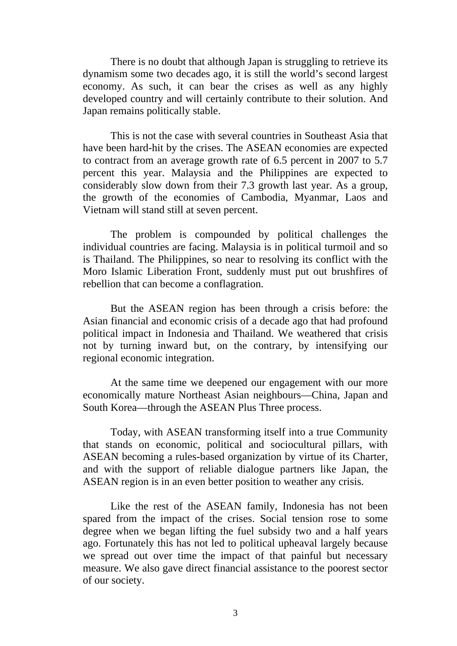There is no doubt that although Japan is struggling to retrieve its dynamism some two decades ago, it is still the world's second largest economy. As such, it can bear the crises as well as any highly developed country and will certainly contribute to their solution. And Japan remains politically stable.

This is not the case with several countries in Southeast Asia that have been hard-hit by the crises. The ASEAN economies are expected to contract from an average growth rate of 6.5 percent in 2007 to 5.7 percent this year. Malaysia and the Philippines are expected to considerably slow down from their 7.3 growth last year. As a group, the growth of the economies of Cambodia, Myanmar, Laos and Vietnam will stand still at seven percent.

The problem is compounded by political challenges the individual countries are facing. Malaysia is in political turmoil and so is Thailand. The Philippines, so near to resolving its conflict with the Moro Islamic Liberation Front, suddenly must put out brushfires of rebellion that can become a conflagration.

But the ASEAN region has been through a crisis before: the Asian financial and economic crisis of a decade ago that had profound political impact in Indonesia and Thailand. We weathered that crisis not by turning inward but, on the contrary, by intensifying our regional economic integration.

At the same time we deepened our engagement with our more economically mature Northeast Asian neighbours—China, Japan and South Korea—through the ASEAN Plus Three process.

Today, with ASEAN transforming itself into a true Community that stands on economic, political and sociocultural pillars, with ASEAN becoming a rules-based organization by virtue of its Charter, and with the support of reliable dialogue partners like Japan, the ASEAN region is in an even better position to weather any crisis.

Like the rest of the ASEAN family, Indonesia has not been spared from the impact of the crises. Social tension rose to some degree when we began lifting the fuel subsidy two and a half years ago. Fortunately this has not led to political upheaval largely because we spread out over time the impact of that painful but necessary measure. We also gave direct financial assistance to the poorest sector of our society.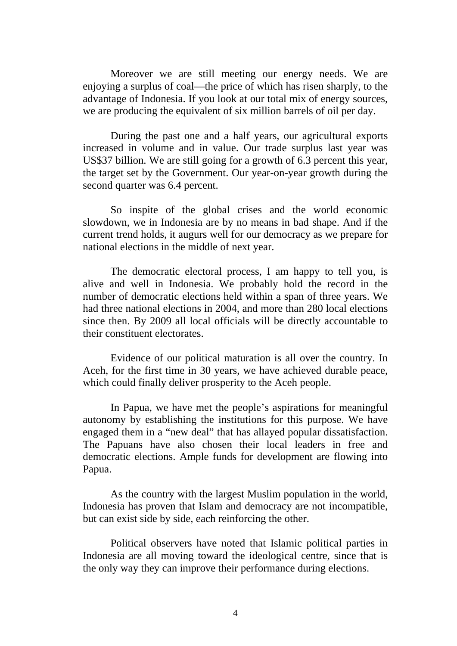Moreover we are still meeting our energy needs. We are enjoying a surplus of coal—the price of which has risen sharply, to the advantage of Indonesia. If you look at our total mix of energy sources, we are producing the equivalent of six million barrels of oil per day.

During the past one and a half years, our agricultural exports increased in volume and in value. Our trade surplus last year was US\$37 billion. We are still going for a growth of 6.3 percent this year, the target set by the Government. Our year-on-year growth during the second quarter was 6.4 percent.

So inspite of the global crises and the world economic slowdown, we in Indonesia are by no means in bad shape. And if the current trend holds, it augurs well for our democracy as we prepare for national elections in the middle of next year.

The democratic electoral process, I am happy to tell you, is alive and well in Indonesia. We probably hold the record in the number of democratic elections held within a span of three years. We had three national elections in 2004, and more than 280 local elections since then. By 2009 all local officials will be directly accountable to their constituent electorates.

Evidence of our political maturation is all over the country. In Aceh, for the first time in 30 years, we have achieved durable peace, which could finally deliver prosperity to the Aceh people.

In Papua, we have met the people's aspirations for meaningful autonomy by establishing the institutions for this purpose. We have engaged them in a "new deal" that has allayed popular dissatisfaction. The Papuans have also chosen their local leaders in free and democratic elections. Ample funds for development are flowing into Papua.

As the country with the largest Muslim population in the world, Indonesia has proven that Islam and democracy are not incompatible, but can exist side by side, each reinforcing the other.

Political observers have noted that Islamic political parties in Indonesia are all moving toward the ideological centre, since that is the only way they can improve their performance during elections.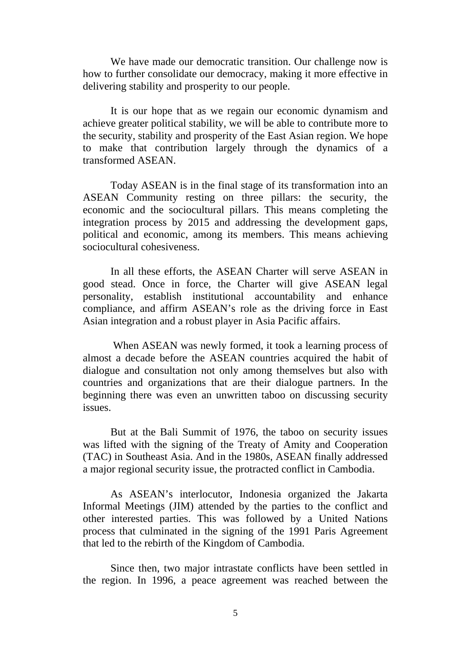We have made our democratic transition. Our challenge now is how to further consolidate our democracy, making it more effective in delivering stability and prosperity to our people.

It is our hope that as we regain our economic dynamism and achieve greater political stability, we will be able to contribute more to the security, stability and prosperity of the East Asian region. We hope to make that contribution largely through the dynamics of a transformed ASEAN.

Today ASEAN is in the final stage of its transformation into an ASEAN Community resting on three pillars: the security, the economic and the sociocultural pillars. This means completing the integration process by 2015 and addressing the development gaps, political and economic, among its members. This means achieving sociocultural cohesiveness.

In all these efforts, the ASEAN Charter will serve ASEAN in good stead. Once in force, the Charter will give ASEAN legal personality, establish institutional accountability and enhance compliance, and affirm ASEAN's role as the driving force in East Asian integration and a robust player in Asia Pacific affairs.

 When ASEAN was newly formed, it took a learning process of almost a decade before the ASEAN countries acquired the habit of dialogue and consultation not only among themselves but also with countries and organizations that are their dialogue partners. In the beginning there was even an unwritten taboo on discussing security issues.

But at the Bali Summit of 1976, the taboo on security issues was lifted with the signing of the Treaty of Amity and Cooperation (TAC) in Southeast Asia. And in the 1980s, ASEAN finally addressed a major regional security issue, the protracted conflict in Cambodia.

As ASEAN's interlocutor, Indonesia organized the Jakarta Informal Meetings (JIM) attended by the parties to the conflict and other interested parties. This was followed by a United Nations process that culminated in the signing of the 1991 Paris Agreement that led to the rebirth of the Kingdom of Cambodia.

Since then, two major intrastate conflicts have been settled in the region. In 1996, a peace agreement was reached between the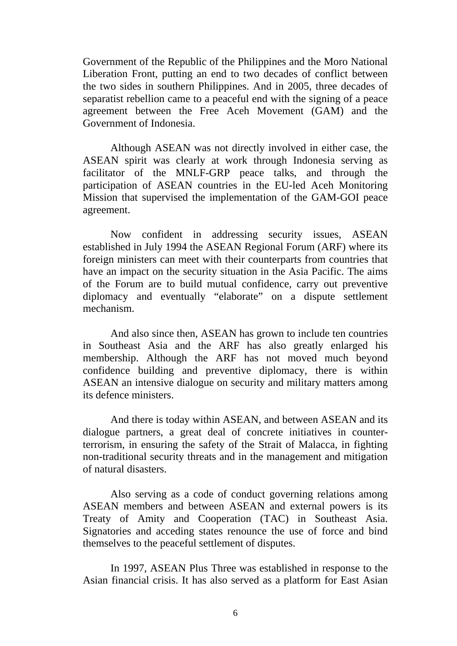Government of the Republic of the Philippines and the Moro National Liberation Front, putting an end to two decades of conflict between the two sides in southern Philippines. And in 2005, three decades of separatist rebellion came to a peaceful end with the signing of a peace agreement between the Free Aceh Movement (GAM) and the Government of Indonesia.

Although ASEAN was not directly involved in either case, the ASEAN spirit was clearly at work through Indonesia serving as facilitator of the MNLF-GRP peace talks, and through the participation of ASEAN countries in the EU-led Aceh Monitoring Mission that supervised the implementation of the GAM-GOI peace agreement.

Now confident in addressing security issues, ASEAN established in July 1994 the ASEAN Regional Forum (ARF) where its foreign ministers can meet with their counterparts from countries that have an impact on the security situation in the Asia Pacific. The aims of the Forum are to build mutual confidence, carry out preventive diplomacy and eventually "elaborate" on a dispute settlement mechanism.

And also since then, ASEAN has grown to include ten countries in Southeast Asia and the ARF has also greatly enlarged his membership. Although the ARF has not moved much beyond confidence building and preventive diplomacy, there is within ASEAN an intensive dialogue on security and military matters among its defence ministers.

And there is today within ASEAN, and between ASEAN and its dialogue partners, a great deal of concrete initiatives in counterterrorism, in ensuring the safety of the Strait of Malacca, in fighting non-traditional security threats and in the management and mitigation of natural disasters.

Also serving as a code of conduct governing relations among ASEAN members and between ASEAN and external powers is its Treaty of Amity and Cooperation (TAC) in Southeast Asia. Signatories and acceding states renounce the use of force and bind themselves to the peaceful settlement of disputes.

In 1997, ASEAN Plus Three was established in response to the Asian financial crisis. It has also served as a platform for East Asian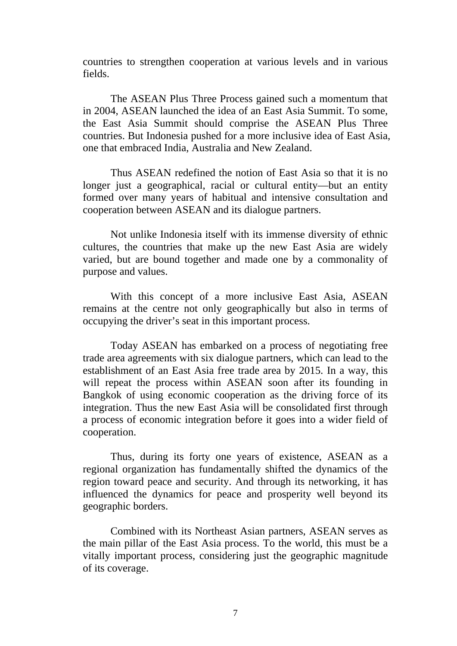countries to strengthen cooperation at various levels and in various fields.

The ASEAN Plus Three Process gained such a momentum that in 2004, ASEAN launched the idea of an East Asia Summit. To some, the East Asia Summit should comprise the ASEAN Plus Three countries. But Indonesia pushed for a more inclusive idea of East Asia, one that embraced India, Australia and New Zealand.

Thus ASEAN redefined the notion of East Asia so that it is no longer just a geographical, racial or cultural entity—but an entity formed over many years of habitual and intensive consultation and cooperation between ASEAN and its dialogue partners.

Not unlike Indonesia itself with its immense diversity of ethnic cultures, the countries that make up the new East Asia are widely varied, but are bound together and made one by a commonality of purpose and values.

With this concept of a more inclusive East Asia, ASEAN remains at the centre not only geographically but also in terms of occupying the driver's seat in this important process.

 Today ASEAN has embarked on a process of negotiating free trade area agreements with six dialogue partners, which can lead to the establishment of an East Asia free trade area by 2015. In a way, this will repeat the process within ASEAN soon after its founding in Bangkok of using economic cooperation as the driving force of its integration. Thus the new East Asia will be consolidated first through a process of economic integration before it goes into a wider field of cooperation.

Thus, during its forty one years of existence, ASEAN as a regional organization has fundamentally shifted the dynamics of the region toward peace and security. And through its networking, it has influenced the dynamics for peace and prosperity well beyond its geographic borders.

Combined with its Northeast Asian partners, ASEAN serves as the main pillar of the East Asia process. To the world, this must be a vitally important process, considering just the geographic magnitude of its coverage.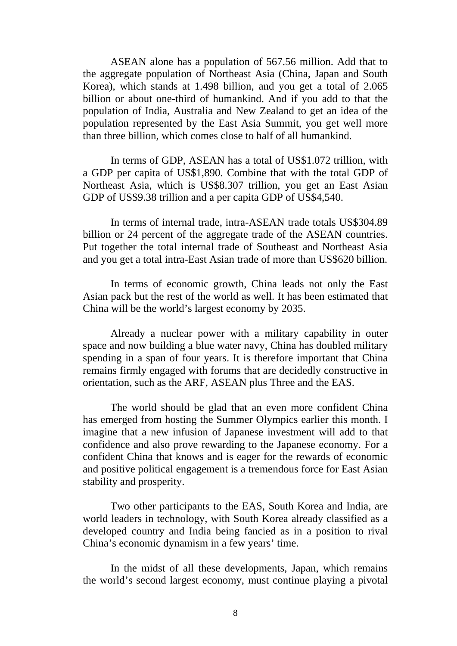ASEAN alone has a population of 567.56 million. Add that to the aggregate population of Northeast Asia (China, Japan and South Korea), which stands at 1.498 billion, and you get a total of 2.065 billion or about one-third of humankind. And if you add to that the population of India, Australia and New Zealand to get an idea of the population represented by the East Asia Summit, you get well more than three billion, which comes close to half of all humankind.

In terms of GDP, ASEAN has a total of US\$1.072 trillion, with a GDP per capita of US\$1,890. Combine that with the total GDP of Northeast Asia, which is US\$8.307 trillion, you get an East Asian GDP of US\$9.38 trillion and a per capita GDP of US\$4,540.

In terms of internal trade, intra-ASEAN trade totals US\$304.89 billion or 24 percent of the aggregate trade of the ASEAN countries. Put together the total internal trade of Southeast and Northeast Asia and you get a total intra-East Asian trade of more than US\$620 billion.

In terms of economic growth, China leads not only the East Asian pack but the rest of the world as well. It has been estimated that China will be the world's largest economy by 2035.

Already a nuclear power with a military capability in outer space and now building a blue water navy, China has doubled military spending in a span of four years. It is therefore important that China remains firmly engaged with forums that are decidedly constructive in orientation, such as the ARF, ASEAN plus Three and the EAS.

The world should be glad that an even more confident China has emerged from hosting the Summer Olympics earlier this month. I imagine that a new infusion of Japanese investment will add to that confidence and also prove rewarding to the Japanese economy. For a confident China that knows and is eager for the rewards of economic and positive political engagement is a tremendous force for East Asian stability and prosperity.

Two other participants to the EAS, South Korea and India, are world leaders in technology, with South Korea already classified as a developed country and India being fancied as in a position to rival China's economic dynamism in a few years' time.

In the midst of all these developments, Japan, which remains the world's second largest economy, must continue playing a pivotal